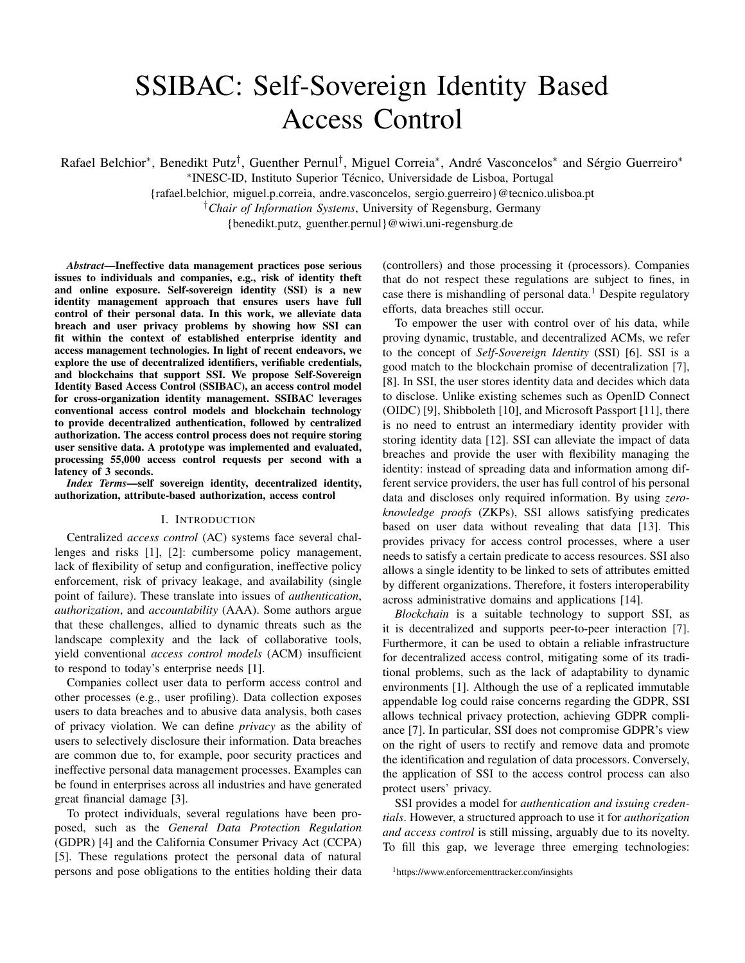# SSIBAC: Self-Sovereign Identity Based Access Control

Rafael Belchior\*, Benedikt Putz<sup>†</sup>, Guenther Pernul<sup>†</sup>, Miguel Correia\*, André Vasconcelos\* and Sérgio Guerreiro\*

∗ INESC-ID, Instituto Superior Técnico, Universidade de Lisboa, Portugal

{rafael.belchior, miguel.p.correia, andre.vasconcelos, sergio.guerreiro}@tecnico.ulisboa.pt

†*Chair of Information Systems*, University of Regensburg, Germany

{benedikt.putz, guenther.pernul}@wiwi.uni-regensburg.de

*Abstract*—Ineffective data management practices pose serious issues to individuals and companies, e.g., risk of identity theft and online exposure. Self-sovereign identity (SSI) is a new identity management approach that ensures users have full control of their personal data. In this work, we alleviate data breach and user privacy problems by showing how SSI can fit within the context of established enterprise identity and access management technologies. In light of recent endeavors, we explore the use of decentralized identifiers, verifiable credentials, and blockchains that support SSI. We propose Self-Sovereign Identity Based Access Control (SSIBAC), an access control model for cross-organization identity management. SSIBAC leverages conventional access control models and blockchain technology to provide decentralized authentication, followed by centralized authorization. The access control process does not require storing user sensitive data. A prototype was implemented and evaluated, processing 55,000 access control requests per second with a latency of 3 seconds.

*Index Terms*—self sovereign identity, decentralized identity, authorization, attribute-based authorization, access control

## I. INTRODUCTION

Centralized *access control* (AC) systems face several challenges and risks [1], [2]: cumbersome policy management, lack of flexibility of setup and configuration, ineffective policy enforcement, risk of privacy leakage, and availability (single point of failure). These translate into issues of *authentication*, *authorization*, and *accountability* (AAA). Some authors argue that these challenges, allied to dynamic threats such as the landscape complexity and the lack of collaborative tools, yield conventional *access control models* (ACM) insufficient to respond to today's enterprise needs [1].

Companies collect user data to perform access control and other processes (e.g., user profiling). Data collection exposes users to data breaches and to abusive data analysis, both cases of privacy violation. We can define *privacy* as the ability of users to selectively disclosure their information. Data breaches are common due to, for example, poor security practices and ineffective personal data management processes. Examples can be found in enterprises across all industries and have generated great financial damage [3].

To protect individuals, several regulations have been proposed, such as the *General Data Protection Regulation* (GDPR) [4] and the California Consumer Privacy Act (CCPA) [5]. These regulations protect the personal data of natural persons and pose obligations to the entities holding their data

(controllers) and those processing it (processors). Companies that do not respect these regulations are subject to fines, in case there is mishandling of personal data.<sup>1</sup> Despite regulatory efforts, data breaches still occur.

To empower the user with control over of his data, while proving dynamic, trustable, and decentralized ACMs, we refer to the concept of *Self-Sovereign Identity* (SSI) [6]. SSI is a good match to the blockchain promise of decentralization [7], [8]. In SSI, the user stores identity data and decides which data to disclose. Unlike existing schemes such as OpenID Connect (OIDC) [9], Shibboleth [10], and Microsoft Passport [11], there is no need to entrust an intermediary identity provider with storing identity data [12]. SSI can alleviate the impact of data breaches and provide the user with flexibility managing the identity: instead of spreading data and information among different service providers, the user has full control of his personal data and discloses only required information. By using *zeroknowledge proofs* (ZKPs), SSI allows satisfying predicates based on user data without revealing that data [13]. This provides privacy for access control processes, where a user needs to satisfy a certain predicate to access resources. SSI also allows a single identity to be linked to sets of attributes emitted by different organizations. Therefore, it fosters interoperability across administrative domains and applications [14].

*Blockchain* is a suitable technology to support SSI, as it is decentralized and supports peer-to-peer interaction [7]. Furthermore, it can be used to obtain a reliable infrastructure for decentralized access control, mitigating some of its traditional problems, such as the lack of adaptability to dynamic environments [1]. Although the use of a replicated immutable appendable log could raise concerns regarding the GDPR, SSI allows technical privacy protection, achieving GDPR compliance [7]. In particular, SSI does not compromise GDPR's view on the right of users to rectify and remove data and promote the identification and regulation of data processors. Conversely, the application of SSI to the access control process can also protect users' privacy.

SSI provides a model for *authentication and issuing credentials*. However, a structured approach to use it for *authorization and access control* is still missing, arguably due to its novelty. To fill this gap, we leverage three emerging technologies:

<sup>1</sup>https://www.enforcementtracker.com/insights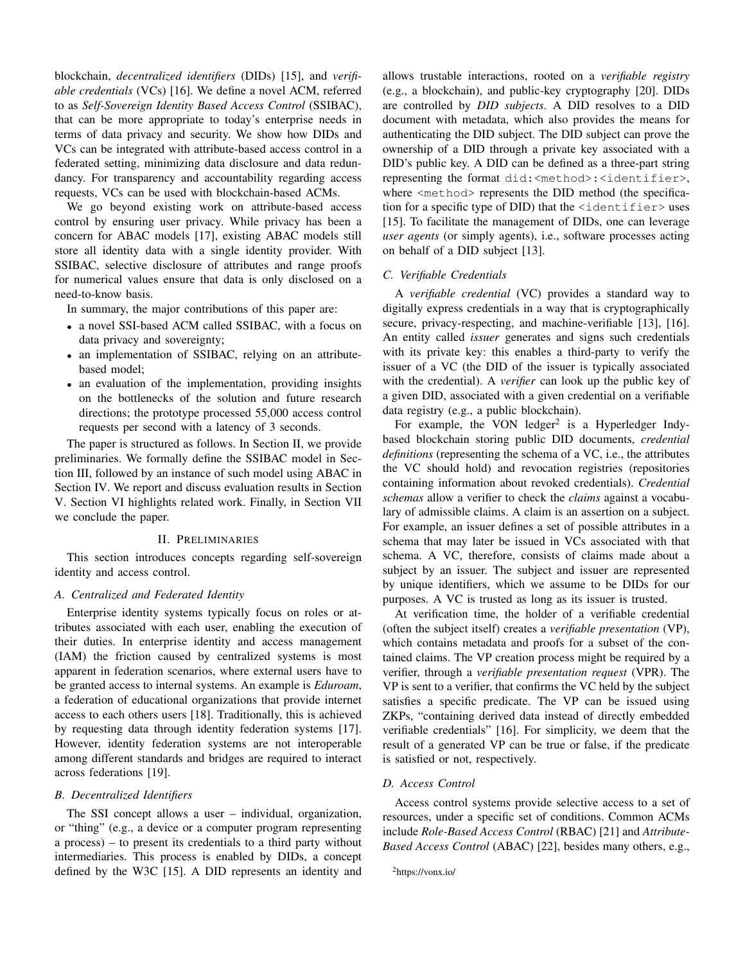blockchain, *decentralized identifiers* (DIDs) [15], and *verifiable credentials* (VCs) [16]. We define a novel ACM, referred to as *Self-Sovereign Identity Based Access Control* (SSIBAC), that can be more appropriate to today's enterprise needs in terms of data privacy and security. We show how DIDs and VCs can be integrated with attribute-based access control in a federated setting, minimizing data disclosure and data redundancy. For transparency and accountability regarding access requests, VCs can be used with blockchain-based ACMs.

We go beyond existing work on attribute-based access control by ensuring user privacy. While privacy has been a concern for ABAC models [17], existing ABAC models still store all identity data with a single identity provider. With SSIBAC, selective disclosure of attributes and range proofs for numerical values ensure that data is only disclosed on a need-to-know basis.

In summary, the major contributions of this paper are:

- a novel SSI-based ACM called SSIBAC, with a focus on data privacy and sovereignty;
- an implementation of SSIBAC, relying on an attributebased model;
- an evaluation of the implementation, providing insights on the bottlenecks of the solution and future research directions; the prototype processed 55,000 access control requests per second with a latency of 3 seconds.

The paper is structured as follows. In Section II, we provide preliminaries. We formally define the SSIBAC model in Section III, followed by an instance of such model using ABAC in Section IV. We report and discuss evaluation results in Section V. Section VI highlights related work. Finally, in Section VII we conclude the paper.

## II. PRELIMINARIES

This section introduces concepts regarding self-sovereign identity and access control.

## *A. Centralized and Federated Identity*

Enterprise identity systems typically focus on roles or attributes associated with each user, enabling the execution of their duties. In enterprise identity and access management (IAM) the friction caused by centralized systems is most apparent in federation scenarios, where external users have to be granted access to internal systems. An example is *Eduroam*, a federation of educational organizations that provide internet access to each others users [18]. Traditionally, this is achieved by requesting data through identity federation systems [17]. However, identity federation systems are not interoperable among different standards and bridges are required to interact across federations [19].

#### *B. Decentralized Identifiers*

The SSI concept allows a user – individual, organization, or "thing" (e.g., a device or a computer program representing a process) – to present its credentials to a third party without intermediaries. This process is enabled by DIDs, a concept defined by the W3C [15]. A DID represents an identity and allows trustable interactions, rooted on a *verifiable registry* (e.g., a blockchain), and public-key cryptography [20]. DIDs are controlled by *DID subjects*. A DID resolves to a DID document with metadata, which also provides the means for authenticating the DID subject. The DID subject can prove the ownership of a DID through a private key associated with a DID's public key. A DID can be defined as a three-part string representing the format did:<method>:<identifier>, where <method> represents the DID method (the specification for a specific type of DID) that the  $\leq$  identifier  $>$  uses [15]. To facilitate the management of DIDs, one can leverage *user agents* (or simply agents), i.e., software processes acting on behalf of a DID subject [13].

## *C. Verifiable Credentials*

A *verifiable credential* (VC) provides a standard way to digitally express credentials in a way that is cryptographically secure, privacy-respecting, and machine-verifiable [13], [16]. An entity called *issuer* generates and signs such credentials with its private key: this enables a third-party to verify the issuer of a VC (the DID of the issuer is typically associated with the credential). A *verifier* can look up the public key of a given DID, associated with a given credential on a verifiable data registry (e.g., a public blockchain).

For example, the VON ledger<sup>2</sup> is a Hyperledger Indybased blockchain storing public DID documents, *credential definitions* (representing the schema of a VC, i.e., the attributes the VC should hold) and revocation registries (repositories containing information about revoked credentials). *Credential schemas* allow a verifier to check the *claims* against a vocabulary of admissible claims. A claim is an assertion on a subject. For example, an issuer defines a set of possible attributes in a schema that may later be issued in VCs associated with that schema. A VC, therefore, consists of claims made about a subject by an issuer. The subject and issuer are represented by unique identifiers, which we assume to be DIDs for our purposes. A VC is trusted as long as its issuer is trusted.

At verification time, the holder of a verifiable credential (often the subject itself) creates a *verifiable presentation* (VP), which contains metadata and proofs for a subset of the contained claims. The VP creation process might be required by a verifier, through a *verifiable presentation request* (VPR). The VP is sent to a verifier, that confirms the VC held by the subject satisfies a specific predicate. The VP can be issued using ZKPs, "containing derived data instead of directly embedded verifiable credentials" [16]. For simplicity, we deem that the result of a generated VP can be true or false, if the predicate is satisfied or not, respectively.

## *D. Access Control*

Access control systems provide selective access to a set of resources, under a specific set of conditions. Common ACMs include *Role-Based Access Control* (RBAC) [21] and *Attribute-Based Access Control* (ABAC) [22], besides many others, e.g.,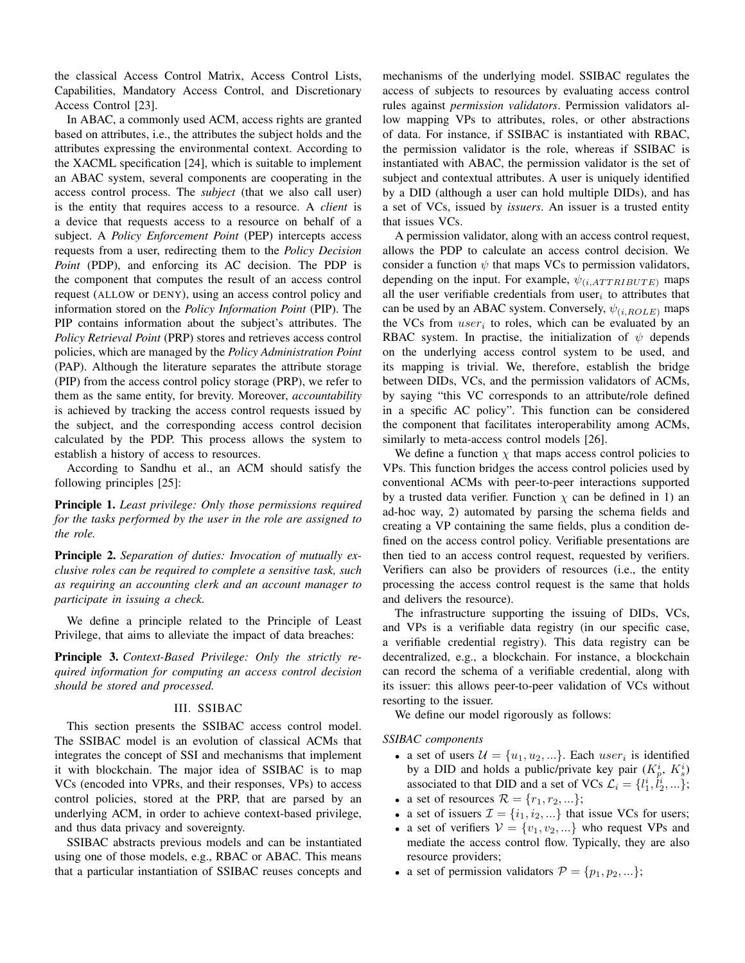the classical Access Control Matrix, Access Control Lists, Capabilities, Mandatory Access Control, and Discretionary Access Control [23].

In ABAC, a commonly used ACM, access rights are granted based on attributes, i.e., the attributes the subject holds and the attributes expressing the environmental context. According to the XACML specification [24], which is suitable to implement an ABAC system, several components are cooperating in the access control process. The *subject* (that we also call user) is the entity that requires access to a resource. A *client* is a device that requests access to a resource on behalf of a subject. A *Policy Enforcement Point* (PEP) intercepts access requests from a user, redirecting them to the *Policy Decision Point* (PDP), and enforcing its AC decision. The PDP is the component that computes the result of an access control request (ALLOW or DENY), using an access control policy and information stored on the *Policy Information Point* (PIP). The PIP contains information about the subject's attributes. The *Policy Retrieval Point* (PRP) stores and retrieves access control policies, which are managed by the *Policy Administration Point* (PAP). Although the literature separates the attribute storage (PIP) from the access control policy storage (PRP), we refer to them as the same entity, for brevity. Moreover, *accountability* is achieved by tracking the access control requests issued by the subject, and the corresponding access control decision calculated by the PDP. This process allows the system to establish a history of access to resources.

According to Sandhu et al., an ACM should satisfy the following principles [25]:

Principle 1. *Least privilege: Only those permissions required for the tasks performed by the user in the role are assigned to the role.*

Principle 2. *Separation of duties: Invocation of mutually exclusive roles can be required to complete a sensitive task, such as requiring an accounting clerk and an account manager to participate in issuing a check.*

We define a principle related to the Principle of Least Privilege, that aims to alleviate the impact of data breaches:

Principle 3. *Context-Based Privilege: Only the strictly required information for computing an access control decision should be stored and processed.*

## III. SSIBAC

This section presents the SSIBAC access control model. The SSIBAC model is an evolution of classical ACMs that integrates the concept of SSI and mechanisms that implement it with blockchain. The major idea of SSIBAC is to map VCs (encoded into VPRs, and their responses, VPs) to access control policies, stored at the PRP, that are parsed by an underlying ACM, in order to achieve context-based privilege, and thus data privacy and sovereignty.

SSIBAC abstracts previous models and can be instantiated using one of those models, e.g., RBAC or ABAC. This means that a particular instantiation of SSIBAC reuses concepts and mechanisms of the underlying model. SSIBAC regulates the access of subjects to resources by evaluating access control rules against *permission validators*. Permission validators allow mapping VPs to attributes, roles, or other abstractions of data. For instance, if SSIBAC is instantiated with RBAC, the permission validator is the role, whereas if SSIBAC is instantiated with ABAC, the permission validator is the set of subject and contextual attributes. A user is uniquely identified by a DID (although a user can hold multiple DIDs), and has a set of VCs, issued by *issuers*. An issuer is a trusted entity that issues VCs.

A permission validator, along with an access control request, allows the PDP to calculate an access control decision. We consider a function  $\psi$  that maps VCs to permission validators, depending on the input. For example,  $\psi_{(i,ATTRIBUTE)}$  maps all the user verifiable credentials from user<sub>i</sub> to attributes that can be used by an ABAC system. Conversely,  $\psi_{(i,ROLE)}$  maps the VCs from  $user_i$  to roles, which can be evaluated by an RBAC system. In practise, the initialization of  $\psi$  depends on the underlying access control system to be used, and its mapping is trivial. We, therefore, establish the bridge between DIDs, VCs, and the permission validators of ACMs, by saying "this VC corresponds to an attribute/role defined in a specific AC policy". This function can be considered the component that facilitates interoperability among ACMs, similarly to meta-access control models [26].

We define a function  $\chi$  that maps access control policies to VPs. This function bridges the access control policies used by conventional ACMs with peer-to-peer interactions supported by a trusted data verifier. Function  $\chi$  can be defined in 1) an ad-hoc way, 2) automated by parsing the schema fields and creating a VP containing the same fields, plus a condition defined on the access control policy. Verifiable presentations are then tied to an access control request, requested by verifiers. Verifiers can also be providers of resources (i.e., the entity processing the access control request is the same that holds and delivers the resource).

The infrastructure supporting the issuing of DIDs, VCs, and VPs is a verifiable data registry (in our specific case, a verifiable credential registry). This data registry can be decentralized, e.g., a blockchain. For instance, a blockchain can record the schema of a verifiable credential, along with its issuer: this allows peer-to-peer validation of VCs without resorting to the issuer.

We define our model rigorously as follows:

*SSIBAC components*

- a set of users  $\mathcal{U} = \{u_1, u_2, ...\}$ . Each  $user_i$  is identified by a DID and holds a public/private key pair  $(K_p^i, K_s^i)$ associated to that DID and a set of VCs  $\mathcal{L}_i = \{l_1^i, l_2^i, ...\}$ ;
- a set of resources  $\mathcal{R} = \{r_1, r_2, ...\}$ ;
- a set of issuers  $\mathcal{I} = \{i_1, i_2, ...\}$  that issue VCs for users;
- a set of verifiers  $V = \{v_1, v_2, ...\}$  who request VPs and mediate the access control flow. Typically, they are also resource providers;
- a set of permission validators  $\mathcal{P} = \{p_1, p_2, ...\}$ ;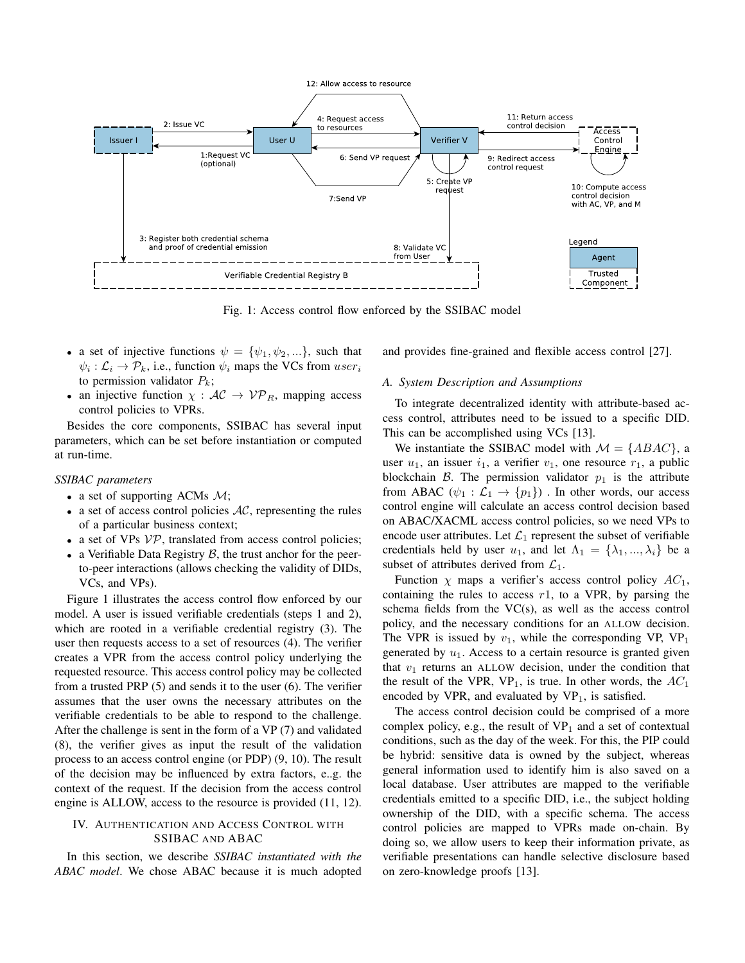

Fig. 1: Access control flow enforced by the SSIBAC model

- a set of injective functions  $\psi = {\psi_1, \psi_2, \ldots}$ , such that  $\psi_i : \mathcal{L}_i \to \mathcal{P}_k$ , i.e., function  $\psi_i$  maps the VCs from  $user_i$ to permission validator  $P_k$ ;
- an injective function  $\chi : AC \rightarrow VP_R$ , mapping access control policies to VPRs.

Besides the core components, SSIBAC has several input parameters, which can be set before instantiation or computed at run-time.

## *SSIBAC parameters*

- a set of supporting ACMs  $\mathcal{M}$ ;
- a set of access control policies  $AC$ , representing the rules of a particular business context;
- a set of VPs  $VP$ , translated from access control policies;
- a Verifiable Data Registry  $\beta$ , the trust anchor for the peerto-peer interactions (allows checking the validity of DIDs, VCs, and VPs).

Figure 1 illustrates the access control flow enforced by our model. A user is issued verifiable credentials (steps 1 and 2), which are rooted in a verifiable credential registry (3). The user then requests access to a set of resources (4). The verifier creates a VPR from the access control policy underlying the requested resource. This access control policy may be collected from a trusted PRP (5) and sends it to the user (6). The verifier assumes that the user owns the necessary attributes on the verifiable credentials to be able to respond to the challenge. After the challenge is sent in the form of a VP (7) and validated (8), the verifier gives as input the result of the validation process to an access control engine (or PDP) (9, 10). The result of the decision may be influenced by extra factors, e..g. the context of the request. If the decision from the access control engine is ALLOW, access to the resource is provided (11, 12).

## IV. AUTHENTICATION AND ACCESS CONTROL WITH SSIBAC AND ABAC

In this section, we describe *SSIBAC instantiated with the ABAC model*. We chose ABAC because it is much adopted and provides fine-grained and flexible access control [27].

## *A. System Description and Assumptions*

To integrate decentralized identity with attribute-based access control, attributes need to be issued to a specific DID. This can be accomplished using VCs [13].

We instantiate the SSIBAC model with  $\mathcal{M} = \{ABAC\}$ , a user  $u_1$ , an issuer  $i_1$ , a verifier  $v_1$ , one resource  $r_1$ , a public blockchain B. The permission validator  $p_1$  is the attribute from ABAC  $(\psi_1 : \mathcal{L}_1 \to \{p_1\})$ . In other words, our access control engine will calculate an access control decision based on ABAC/XACML access control policies, so we need VPs to encode user attributes. Let  $\mathcal{L}_1$  represent the subset of verifiable credentials held by user  $u_1$ , and let  $\Lambda_1 = {\lambda_1, ..., \lambda_i}$  be a subset of attributes derived from  $\mathcal{L}_1$ .

Function  $\chi$  maps a verifier's access control policy  $AC_1$ , containing the rules to access  $r1$ , to a VPR, by parsing the schema fields from the  $VC(s)$ , as well as the access control policy, and the necessary conditions for an ALLOW decision. The VPR is issued by  $v_1$ , while the corresponding VP, VP<sub>1</sub> generated by  $u_1$ . Access to a certain resource is granted given that  $v_1$  returns an ALLOW decision, under the condition that the result of the VPR, VP<sub>1</sub>, is true. In other words, the  $AC_1$ encoded by VPR, and evaluated by  $VP_1$ , is satisfied.

The access control decision could be comprised of a more complex policy, e.g., the result of  $VP_1$  and a set of contextual conditions, such as the day of the week. For this, the PIP could be hybrid: sensitive data is owned by the subject, whereas general information used to identify him is also saved on a local database. User attributes are mapped to the verifiable credentials emitted to a specific DID, i.e., the subject holding ownership of the DID, with a specific schema. The access control policies are mapped to VPRs made on-chain. By doing so, we allow users to keep their information private, as verifiable presentations can handle selective disclosure based on zero-knowledge proofs [13].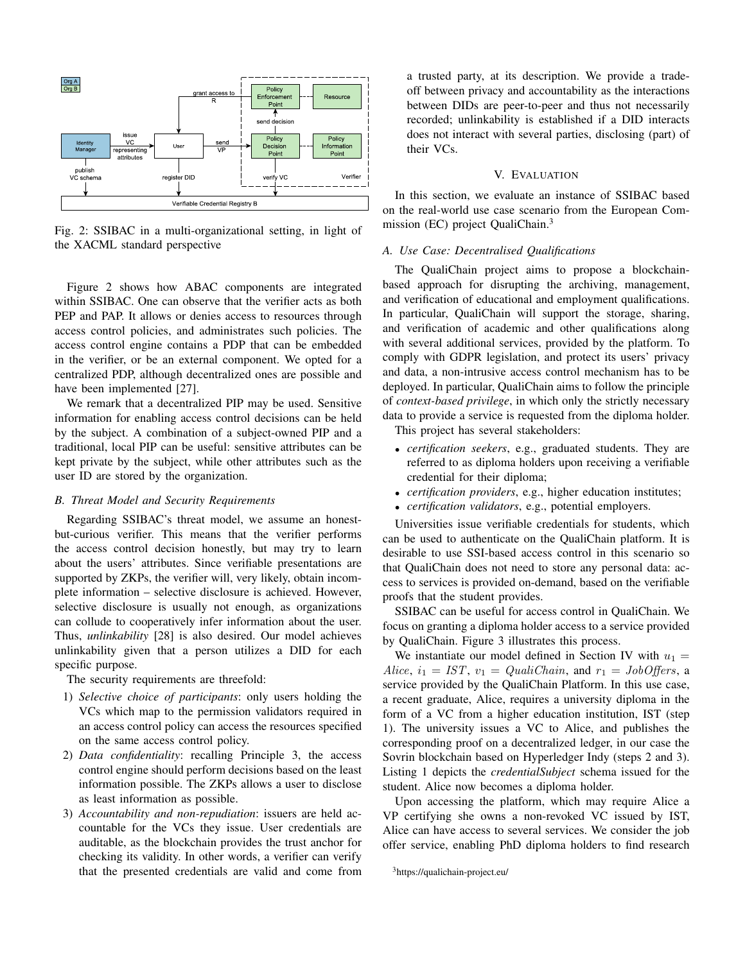

Fig. 2: SSIBAC in a multi-organizational setting, in light of the XACML standard perspective

Figure 2 shows how ABAC components are integrated within SSIBAC. One can observe that the verifier acts as both PEP and PAP. It allows or denies access to resources through access control policies, and administrates such policies. The access control engine contains a PDP that can be embedded in the verifier, or be an external component. We opted for a centralized PDP, although decentralized ones are possible and have been implemented [27].

We remark that a decentralized PIP may be used. Sensitive information for enabling access control decisions can be held by the subject. A combination of a subject-owned PIP and a traditional, local PIP can be useful: sensitive attributes can be kept private by the subject, while other attributes such as the user ID are stored by the organization.

## *B. Threat Model and Security Requirements*

Regarding SSIBAC's threat model, we assume an honestbut-curious verifier. This means that the verifier performs the access control decision honestly, but may try to learn about the users' attributes. Since verifiable presentations are supported by ZKPs, the verifier will, very likely, obtain incomplete information – selective disclosure is achieved. However, selective disclosure is usually not enough, as organizations can collude to cooperatively infer information about the user. Thus, *unlinkability* [28] is also desired. Our model achieves unlinkability given that a person utilizes a DID for each specific purpose.

The security requirements are threefold:

- 1) *Selective choice of participants*: only users holding the VCs which map to the permission validators required in an access control policy can access the resources specified on the same access control policy.
- 2) *Data confidentiality*: recalling Principle 3, the access control engine should perform decisions based on the least information possible. The ZKPs allows a user to disclose as least information as possible.
- 3) *Accountability and non-repudiation*: issuers are held accountable for the VCs they issue. User credentials are auditable, as the blockchain provides the trust anchor for checking its validity. In other words, a verifier can verify that the presented credentials are valid and come from

a trusted party, at its description. We provide a tradeoff between privacy and accountability as the interactions between DIDs are peer-to-peer and thus not necessarily recorded; unlinkability is established if a DID interacts does not interact with several parties, disclosing (part) of their VCs.

# V. EVALUATION

In this section, we evaluate an instance of SSIBAC based on the real-world use case scenario from the European Commission (EC) project QualiChain.<sup>3</sup>

# *A. Use Case: Decentralised Qualifications*

The QualiChain project aims to propose a blockchainbased approach for disrupting the archiving, management, and verification of educational and employment qualifications. In particular, QualiChain will support the storage, sharing, and verification of academic and other qualifications along with several additional services, provided by the platform. To comply with GDPR legislation, and protect its users' privacy and data, a non-intrusive access control mechanism has to be deployed. In particular, QualiChain aims to follow the principle of *context-based privilege*, in which only the strictly necessary data to provide a service is requested from the diploma holder.

This project has several stakeholders:

- *certification seekers*, e.g., graduated students. They are referred to as diploma holders upon receiving a verifiable credential for their diploma;
- *certification providers*, e.g., higher education institutes;
- *certification validators*, e.g., potential employers.

Universities issue verifiable credentials for students, which can be used to authenticate on the QualiChain platform. It is desirable to use SSI-based access control in this scenario so that QualiChain does not need to store any personal data: access to services is provided on-demand, based on the verifiable proofs that the student provides.

SSIBAC can be useful for access control in QualiChain. We focus on granting a diploma holder access to a service provided by QualiChain. Figure 3 illustrates this process.

We instantiate our model defined in Section IV with  $u_1 =$ Alice,  $i_1 = IST$ ,  $v_1 = QualiChain$ , and  $r_1 = JobOffers$ , a service provided by the QualiChain Platform. In this use case, a recent graduate, Alice, requires a university diploma in the form of a VC from a higher education institution, IST (step 1). The university issues a VC to Alice, and publishes the corresponding proof on a decentralized ledger, in our case the Sovrin blockchain based on Hyperledger Indy (steps 2 and 3). Listing 1 depicts the *credentialSubject* schema issued for the student. Alice now becomes a diploma holder.

Upon accessing the platform, which may require Alice a VP certifying she owns a non-revoked VC issued by IST, Alice can have access to several services. We consider the job offer service, enabling PhD diploma holders to find research

<sup>3</sup>https://qualichain-project.eu/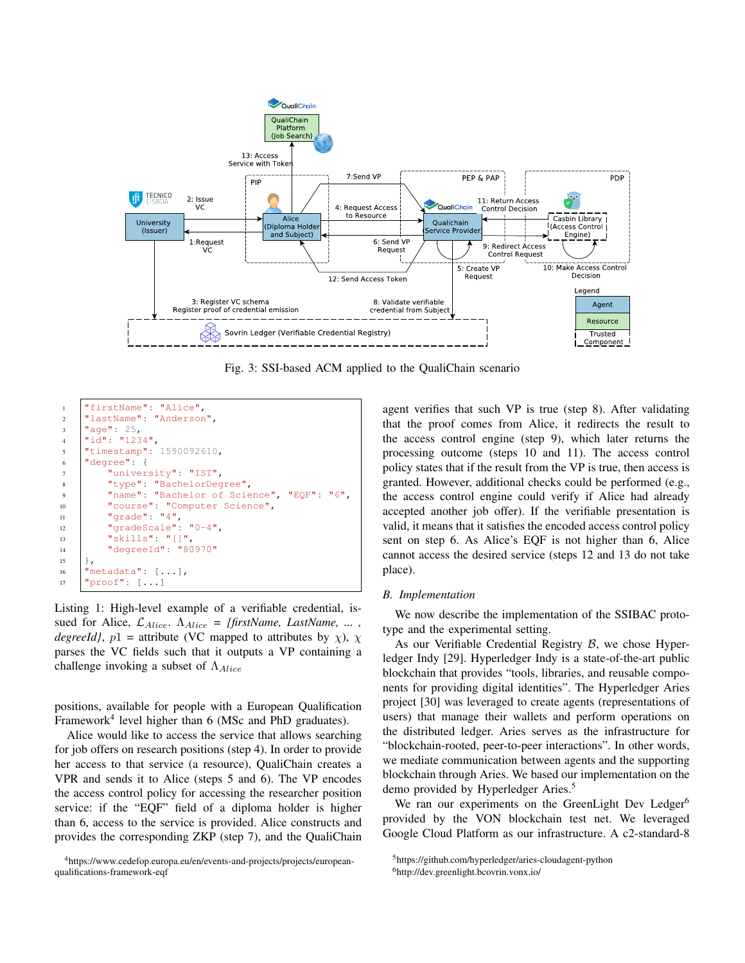

Fig. 3: SSI-based ACM applied to the QualiChain scenario

```
1 "firstName": "Alice",
2 "lastName": "Anderson",
3 "age": 25,
4 |\cdot|\vec{d}| : "1234",
5 "timestamp": 1590092610,
6 "degree": {
7 "university": "IST",
8 "type": "BachelorDegree",
9 "name": "Bachelor of Science", "EQF": "6",
10 "course": "Computer Science",
11 "grade": "4",
12 "gradeScale": "0-4",
13 "skills": "[]",
14 "degreeId": "80970"
1516 "metadata": [...],
17 "proof" : [...]
```
Listing 1: High-level example of a verifiable credential, issued for Alice, LAlice. ΛAlice *= {firstName, LastName, ... , degreeId}*,  $p1 =$  attribute (VC mapped to attributes by  $\chi$ ),  $\chi$ parses the VC fields such that it outputs a VP containing a challenge invoking a subset of  $\Lambda_{Alice}$ 

positions, available for people with a European Qualification Framework<sup>4</sup> level higher than 6 (MSc and PhD graduates).

Alice would like to access the service that allows searching for job offers on research positions (step 4). In order to provide her access to that service (a resource), QualiChain creates a VPR and sends it to Alice (steps 5 and 6). The VP encodes the access control policy for accessing the researcher position service: if the "EQF" field of a diploma holder is higher than 6, access to the service is provided. Alice constructs and provides the corresponding ZKP (step 7), and the QualiChain

<sup>4</sup>https://www.cedefop.europa.eu/en/events-and-projects/projects/europeanqualifications-framework-eqf

agent verifies that such VP is true (step 8). After validating that the proof comes from Alice, it redirects the result to the access control engine (step 9), which later returns the processing outcome (steps 10 and 11). The access control policy states that if the result from the VP is true, then access is granted. However, additional checks could be performed (e.g., the access control engine could verify if Alice had already accepted another job offer). If the verifiable presentation is valid, it means that it satisfies the encoded access control policy sent on step 6. As Alice's EQF is not higher than 6, Alice cannot access the desired service (steps 12 and 13 do not take place).

## *B. Implementation*

We now describe the implementation of the SSIBAC prototype and the experimental setting.

As our Verifiable Credential Registry  $\beta$ , we chose Hyperledger Indy [29]. Hyperledger Indy is a state-of-the-art public blockchain that provides "tools, libraries, and reusable components for providing digital identities". The Hyperledger Aries project [30] was leveraged to create agents (representations of users) that manage their wallets and perform operations on the distributed ledger. Aries serves as the infrastructure for "blockchain-rooted, peer-to-peer interactions". In other words, we mediate communication between agents and the supporting blockchain through Aries. We based our implementation on the demo provided by Hyperledger Aries.<sup>5</sup>

We ran our experiments on the GreenLight Dev Ledger<sup>6</sup> provided by the VON blockchain test net. We leveraged Google Cloud Platform as our infrastructure. A c2-standard-8

<sup>5</sup>https://github.com/hyperledger/aries-cloudagent-python <sup>6</sup>http://dev.greenlight.bcovrin.vonx.io/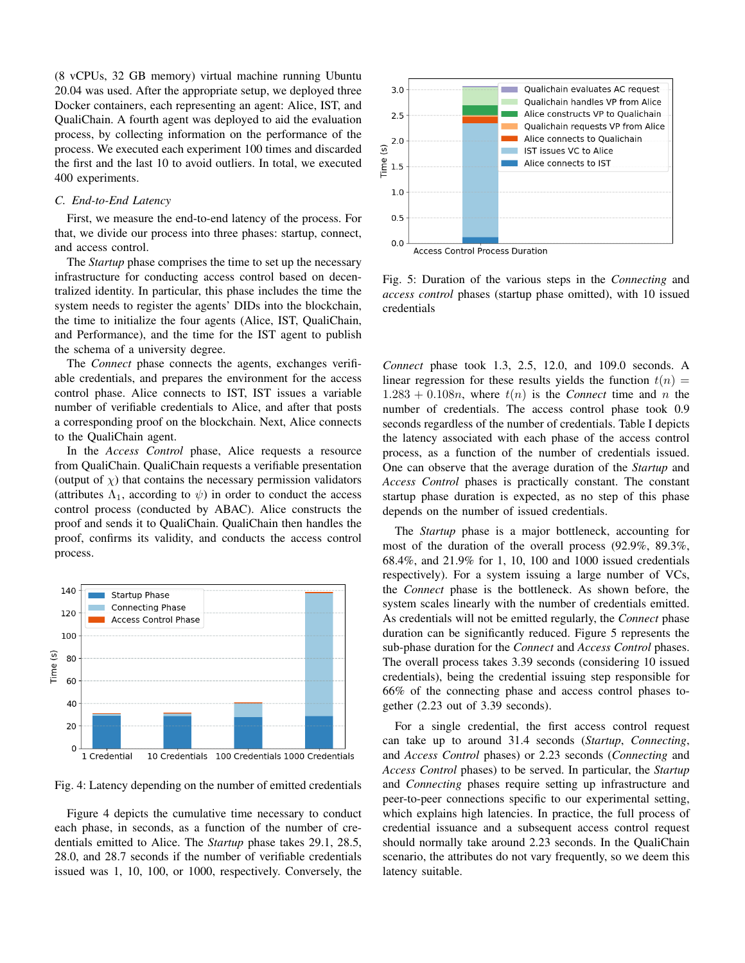(8 vCPUs, 32 GB memory) virtual machine running Ubuntu 20.04 was used. After the appropriate setup, we deployed three Docker containers, each representing an agent: Alice, IST, and QualiChain. A fourth agent was deployed to aid the evaluation process, by collecting information on the performance of the process. We executed each experiment 100 times and discarded the first and the last 10 to avoid outliers. In total, we executed 400 experiments.

## *C. End-to-End Latency*

First, we measure the end-to-end latency of the process. For that, we divide our process into three phases: startup, connect, and access control.

The *Startup* phase comprises the time to set up the necessary infrastructure for conducting access control based on decentralized identity. In particular, this phase includes the time the system needs to register the agents' DIDs into the blockchain, the time to initialize the four agents (Alice, IST, QualiChain, and Performance), and the time for the IST agent to publish the schema of a university degree.

The *Connect* phase connects the agents, exchanges verifiable credentials, and prepares the environment for the access control phase. Alice connects to IST, IST issues a variable number of verifiable credentials to Alice, and after that posts a corresponding proof on the blockchain. Next, Alice connects to the QualiChain agent.

In the *Access Control* phase, Alice requests a resource from QualiChain. QualiChain requests a verifiable presentation (output of  $\chi$ ) that contains the necessary permission validators (attributes  $\Lambda_1$ , according to  $\psi$ ) in order to conduct the access control process (conducted by ABAC). Alice constructs the proof and sends it to QualiChain. QualiChain then handles the proof, confirms its validity, and conducts the access control process.



Fig. 4: Latency depending on the number of emitted credentials

Figure 4 depicts the cumulative time necessary to conduct each phase, in seconds, as a function of the number of credentials emitted to Alice. The *Startup* phase takes 29.1, 28.5, 28.0, and 28.7 seconds if the number of verifiable credentials issued was 1, 10, 100, or 1000, respectively. Conversely, the



Fig. 5: Duration of the various steps in the *Connecting* and *access control* phases (startup phase omitted), with 10 issued credentials

*Connect* phase took 1.3, 2.5, 12.0, and 109.0 seconds. A linear regression for these results yields the function  $t(n)$  =  $1.283 + 0.108n$ , where  $t(n)$  is the *Connect* time and n the number of credentials. The access control phase took 0.9 seconds regardless of the number of credentials. Table I depicts the latency associated with each phase of the access control process, as a function of the number of credentials issued. One can observe that the average duration of the *Startup* and *Access Control* phases is practically constant. The constant startup phase duration is expected, as no step of this phase depends on the number of issued credentials.

The *Startup* phase is a major bottleneck, accounting for most of the duration of the overall process (92.9%, 89.3%, 68.4%, and 21.9% for 1, 10, 100 and 1000 issued credentials respectively). For a system issuing a large number of VCs, the *Connect* phase is the bottleneck. As shown before, the system scales linearly with the number of credentials emitted. As credentials will not be emitted regularly, the *Connect* phase duration can be significantly reduced. Figure 5 represents the sub-phase duration for the *Connect* and *Access Control* phases. The overall process takes 3.39 seconds (considering 10 issued credentials), being the credential issuing step responsible for 66% of the connecting phase and access control phases together (2.23 out of 3.39 seconds).

For a single credential, the first access control request can take up to around 31.4 seconds (*Startup*, *Connecting*, and *Access Control* phases) or 2.23 seconds (*Connecting* and *Access Control* phases) to be served. In particular, the *Startup* and *Connecting* phases require setting up infrastructure and peer-to-peer connections specific to our experimental setting, which explains high latencies. In practice, the full process of credential issuance and a subsequent access control request should normally take around 2.23 seconds. In the QualiChain scenario, the attributes do not vary frequently, so we deem this latency suitable.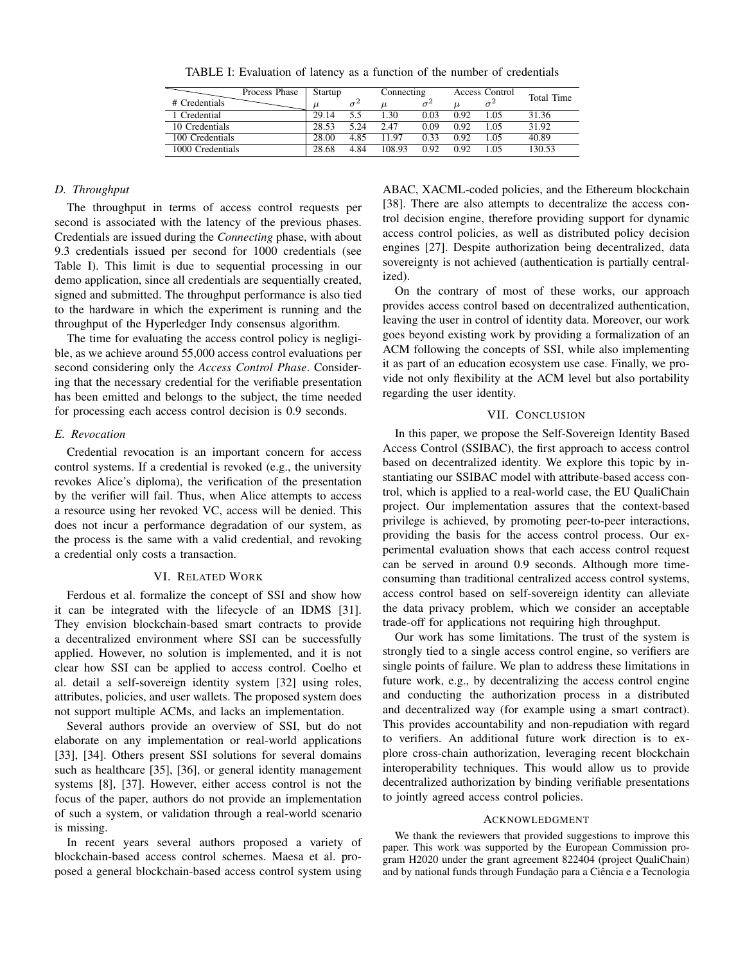| Startup |      | Connecting |      | Access Control |     | Total Time |
|---------|------|------------|------|----------------|-----|------------|
|         |      |            |      | $\mu$          |     |            |
| 29.14   | 5.5  | 1.30       | 0.03 | 0.92           | LO5 | 31.36      |
| 28.53   | 5 24 | 2.47       | 0.09 | 0.92           | LO5 | 31.92      |
| 28.00   | 4.85 | 11.97      | 0.33 | 0.92           | LO5 | 40.89      |
| 28.68   | 4.84 | 108.93     | 0.92 | 0.92           | -05 | 130.53     |
|         |      |            |      |                |     |            |

TABLE I: Evaluation of latency as a function of the number of credentials

# *D. Throughput*

The throughput in terms of access control requests per second is associated with the latency of the previous phases. Credentials are issued during the *Connecting* phase, with about 9.3 credentials issued per second for 1000 credentials (see Table I). This limit is due to sequential processing in our demo application, since all credentials are sequentially created, signed and submitted. The throughput performance is also tied to the hardware in which the experiment is running and the throughput of the Hyperledger Indy consensus algorithm.

The time for evaluating the access control policy is negligible, as we achieve around 55,000 access control evaluations per second considering only the *Access Control Phase*. Considering that the necessary credential for the verifiable presentation has been emitted and belongs to the subject, the time needed for processing each access control decision is 0.9 seconds.

## *E. Revocation*

Credential revocation is an important concern for access control systems. If a credential is revoked (e.g., the university revokes Alice's diploma), the verification of the presentation by the verifier will fail. Thus, when Alice attempts to access a resource using her revoked VC, access will be denied. This does not incur a performance degradation of our system, as the process is the same with a valid credential, and revoking a credential only costs a transaction.

#### VI. RELATED WORK

Ferdous et al. formalize the concept of SSI and show how it can be integrated with the lifecycle of an IDMS [31]. They envision blockchain-based smart contracts to provide a decentralized environment where SSI can be successfully applied. However, no solution is implemented, and it is not clear how SSI can be applied to access control. Coelho et al. detail a self-sovereign identity system [32] using roles, attributes, policies, and user wallets. The proposed system does not support multiple ACMs, and lacks an implementation.

Several authors provide an overview of SSI, but do not elaborate on any implementation or real-world applications [33], [34]. Others present SSI solutions for several domains such as healthcare [35], [36], or general identity management systems [8], [37]. However, either access control is not the focus of the paper, authors do not provide an implementation of such a system, or validation through a real-world scenario is missing.

In recent years several authors proposed a variety of blockchain-based access control schemes. Maesa et al. proposed a general blockchain-based access control system using

ABAC, XACML-coded policies, and the Ethereum blockchain [38]. There are also attempts to decentralize the access control decision engine, therefore providing support for dynamic access control policies, as well as distributed policy decision engines [27]. Despite authorization being decentralized, data sovereignty is not achieved (authentication is partially centralized).

On the contrary of most of these works, our approach provides access control based on decentralized authentication, leaving the user in control of identity data. Moreover, our work goes beyond existing work by providing a formalization of an ACM following the concepts of SSI, while also implementing it as part of an education ecosystem use case. Finally, we provide not only flexibility at the ACM level but also portability regarding the user identity.

## VII. CONCLUSION

In this paper, we propose the Self-Sovereign Identity Based Access Control (SSIBAC), the first approach to access control based on decentralized identity. We explore this topic by instantiating our SSIBAC model with attribute-based access control, which is applied to a real-world case, the EU QualiChain project. Our implementation assures that the context-based privilege is achieved, by promoting peer-to-peer interactions, providing the basis for the access control process. Our experimental evaluation shows that each access control request can be served in around 0.9 seconds. Although more timeconsuming than traditional centralized access control systems, access control based on self-sovereign identity can alleviate the data privacy problem, which we consider an acceptable trade-off for applications not requiring high throughput.

Our work has some limitations. The trust of the system is strongly tied to a single access control engine, so verifiers are single points of failure. We plan to address these limitations in future work, e.g., by decentralizing the access control engine and conducting the authorization process in a distributed and decentralized way (for example using a smart contract). This provides accountability and non-repudiation with regard to verifiers. An additional future work direction is to explore cross-chain authorization, leveraging recent blockchain interoperability techniques. This would allow us to provide decentralized authorization by binding verifiable presentations to jointly agreed access control policies.

#### ACKNOWLEDGMENT

We thank the reviewers that provided suggestions to improve this paper. This work was supported by the European Commission program H2020 under the grant agreement 822404 (project QualiChain) and by national funds through Fundação para a Ciência e a Tecnologia